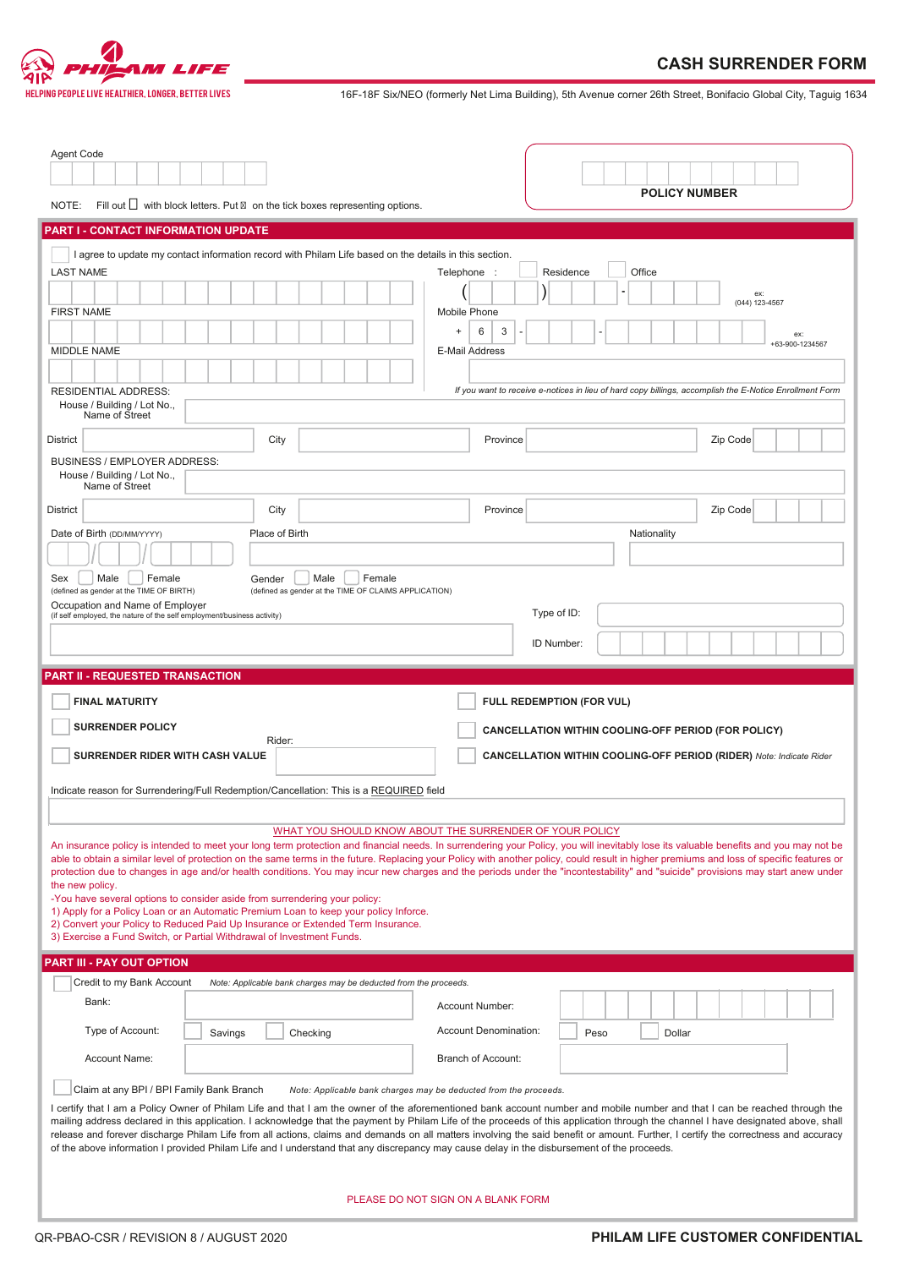

THELPING PEOPLE LIVE HEALTHIER, LONGER, BETTER LIVES **16F-18F Six/NEO** (formerly Net Lima Building), 5th Avenue corner 26th Street, Bonifacio Global City, Taguig 1634

| Agent Code<br>NOTE:                                                                                                                                                                                                                                                                                                                                                                                                                                                                                                                                                                                                                                                          |         | Fill out $\Box$ with block letters. Put on the tick boxes representing options.                                                                                                                                                    |                                                                                        | <b>POLICY NUMBER</b>                                                                                                                                                                                                                                                                                                                                                                                                                                                                                                                                                  |  |  |  |
|------------------------------------------------------------------------------------------------------------------------------------------------------------------------------------------------------------------------------------------------------------------------------------------------------------------------------------------------------------------------------------------------------------------------------------------------------------------------------------------------------------------------------------------------------------------------------------------------------------------------------------------------------------------------------|---------|------------------------------------------------------------------------------------------------------------------------------------------------------------------------------------------------------------------------------------|----------------------------------------------------------------------------------------|-----------------------------------------------------------------------------------------------------------------------------------------------------------------------------------------------------------------------------------------------------------------------------------------------------------------------------------------------------------------------------------------------------------------------------------------------------------------------------------------------------------------------------------------------------------------------|--|--|--|
|                                                                                                                                                                                                                                                                                                                                                                                                                                                                                                                                                                                                                                                                              |         |                                                                                                                                                                                                                                    |                                                                                        |                                                                                                                                                                                                                                                                                                                                                                                                                                                                                                                                                                       |  |  |  |
| PART I - CONTACT INFORMATION UPDATE<br>I agree to update my contact information record with Philam Life based on the details in this section.<br>Office<br><b>LAST NAME</b><br>Telephone :<br>Residence<br>ex:<br>(044) 123-4567<br><b>FIRST NAME</b><br>Mobile Phone<br>6<br>3<br>$+$<br>ex:<br>+63-900-1234567<br><b>MIDDLE NAME</b><br>E-Mail Address<br>If you want to receive e-notices in lieu of hard copy billings, accomplish the E-Notice Enrollment Form<br><b>RESIDENTIAL ADDRESS:</b><br>House / Building / Lot No.,<br>Name of Street<br>Zip Code<br><b>District</b><br>City<br>Province<br><b>BUSINESS / EMPLOYER ADDRESS:</b><br>House / Building / Lot No., |         |                                                                                                                                                                                                                                    |                                                                                        |                                                                                                                                                                                                                                                                                                                                                                                                                                                                                                                                                                       |  |  |  |
| Name of Street                                                                                                                                                                                                                                                                                                                                                                                                                                                                                                                                                                                                                                                               |         |                                                                                                                                                                                                                                    |                                                                                        |                                                                                                                                                                                                                                                                                                                                                                                                                                                                                                                                                                       |  |  |  |
| City<br>Zip Code<br><b>District</b><br>Province<br>Date of Birth (DD/MM/YYYY)<br>Place of Birth<br>Nationality<br>Male<br>Female<br>Male<br>Female<br>Sex<br>Gender<br>(defined as gender at the TIME OF BIRTH)<br>(defined as gender at the TIME OF CLAIMS APPLICATION)<br>Occupation and Name of Employer<br>Type of ID:<br>(if self employed, the nature of the self employment/business activity)<br>ID Number:                                                                                                                                                                                                                                                          |         |                                                                                                                                                                                                                                    |                                                                                        |                                                                                                                                                                                                                                                                                                                                                                                                                                                                                                                                                                       |  |  |  |
| <b>PART II - REQUESTED TRANSACTION</b>                                                                                                                                                                                                                                                                                                                                                                                                                                                                                                                                                                                                                                       |         |                                                                                                                                                                                                                                    |                                                                                        |                                                                                                                                                                                                                                                                                                                                                                                                                                                                                                                                                                       |  |  |  |
|                                                                                                                                                                                                                                                                                                                                                                                                                                                                                                                                                                                                                                                                              |         |                                                                                                                                                                                                                                    |                                                                                        |                                                                                                                                                                                                                                                                                                                                                                                                                                                                                                                                                                       |  |  |  |
| <b>FINAL MATURITY</b><br><b>SURRENDER POLICY</b><br><b>SURRENDER RIDER WITH CASH VALUE</b>                                                                                                                                                                                                                                                                                                                                                                                                                                                                                                                                                                                   |         | Rider:<br>Indicate reason for Surrendering/Full Redemption/Cancellation: This is a REQUIRED field                                                                                                                                  |                                                                                        | FULL REDEMPTION (FOR VUL)<br><b>CANCELLATION WITHIN COOLING-OFF PERIOD (FOR POLICY)</b><br><b>CANCELLATION WITHIN COOLING-OFF PERIOD (RIDER)</b> Note: Indicate Rider                                                                                                                                                                                                                                                                                                                                                                                                 |  |  |  |
| the new policy.<br>-You have several options to consider aside from surrendering your policy:<br>3) Exercise a Fund Switch, or Partial Withdrawal of Investment Funds.                                                                                                                                                                                                                                                                                                                                                                                                                                                                                                       |         | WHAT YOU SHOULD KNOW ABOUT THE SURRENDER OF YOUR POLICY<br>1) Apply for a Policy Loan or an Automatic Premium Loan to keep your policy Inforce.<br>2) Convert your Policy to Reduced Paid Up Insurance or Extended Term Insurance. |                                                                                        | An insurance policy is intended to meet your long term protection and financial needs. In surrendering your Policy, you will inevitably lose its valuable benefits and you may not be<br>able to obtain a similar level of protection on the same terms in the future. Replacing your Policy with another policy, could result in higher premiums and loss of specific features or<br>protection due to changes in age and/or health conditions. You may incur new charges and the periods under the "incontestability" and "suicide" provisions may start anew under |  |  |  |
| PART III - PAY OUT OPTION                                                                                                                                                                                                                                                                                                                                                                                                                                                                                                                                                                                                                                                    |         |                                                                                                                                                                                                                                    |                                                                                        |                                                                                                                                                                                                                                                                                                                                                                                                                                                                                                                                                                       |  |  |  |
| Credit to my Bank Account                                                                                                                                                                                                                                                                                                                                                                                                                                                                                                                                                                                                                                                    |         | Note: Applicable bank charges may be deducted from the proceeds.                                                                                                                                                                   |                                                                                        |                                                                                                                                                                                                                                                                                                                                                                                                                                                                                                                                                                       |  |  |  |
| Bank:                                                                                                                                                                                                                                                                                                                                                                                                                                                                                                                                                                                                                                                                        |         |                                                                                                                                                                                                                                    | Account Number:                                                                        |                                                                                                                                                                                                                                                                                                                                                                                                                                                                                                                                                                       |  |  |  |
| Type of Account:                                                                                                                                                                                                                                                                                                                                                                                                                                                                                                                                                                                                                                                             | Savings | Checking                                                                                                                                                                                                                           | <b>Account Denomination:</b>                                                           | Peso<br>Dollar                                                                                                                                                                                                                                                                                                                                                                                                                                                                                                                                                        |  |  |  |
| Account Name:<br>Claim at any BPI / BPI Family Bank Branch                                                                                                                                                                                                                                                                                                                                                                                                                                                                                                                                                                                                                   |         |                                                                                                                                                                                                                                    | Branch of Account:<br>Note: Applicable bank charges may be deducted from the proceeds. | I certify that I am a Policy Owner of Philam Life and that I am the owner of the aforementioned bank account number and mobile number and that I can be reached through the<br>mailing address declared in this application. I acknowledge that the payment by Philam Life of the proceeds of this application through the channel I have designated above, shall                                                                                                                                                                                                     |  |  |  |